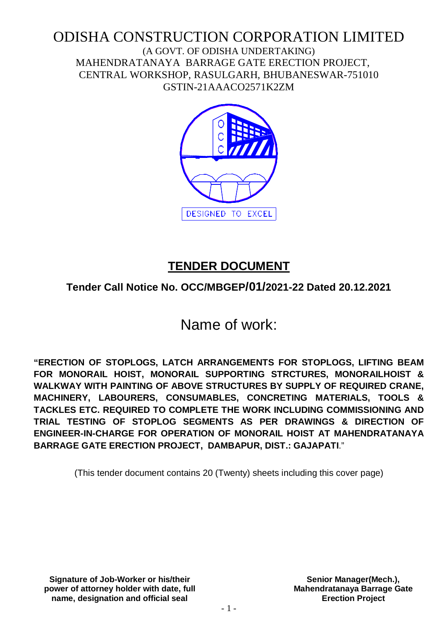## ODISHA CONSTRUCTION CORPORATION LIMITED (A GOVT. OF ODISHA UNDERTAKING) MAHENDRATANAYA BARRAGE GATE ERECTION PROJECT, CENTRAL WORKSHOP, RASULGARH, BHUBANESWAR-751010 GSTIN-21AAACO2571K2ZM



## **TENDER DOCUMENT**

## **Tender Call Notice No. OCC/MBGEP/01/2021-22 Dated 20.12.2021**

# Name of work:

**"ERECTION OF STOPLOGS, LATCH ARRANGEMENTS FOR STOPLOGS, LIFTING BEAM FOR MONORAIL HOIST, MONORAIL SUPPORTING STRCTURES, MONORAILHOIST & WALKWAY WITH PAINTING OF ABOVE STRUCTURES BY SUPPLY OF REQUIRED CRANE, MACHINERY, LABOURERS, CONSUMABLES, CONCRETING MATERIALS, TOOLS & TACKLES ETC. REQUIRED TO COMPLETE THE WORK INCLUDING COMMISSIONING AND TRIAL TESTING OF STOPLOG SEGMENTS AS PER DRAWINGS & DIRECTION OF ENGINEER-IN-CHARGE FOR OPERATION OF MONORAIL HOIST AT MAHENDRATANAYA BARRAGE GATE ERECTION PROJECT, DAMBAPUR, DIST.: GAJAPATI**."

(This tender document contains 20 (Twenty) sheets including this cover page)

**Signature of Job-Worker or his/their power of attorney holder with date, full name, designation and official seal**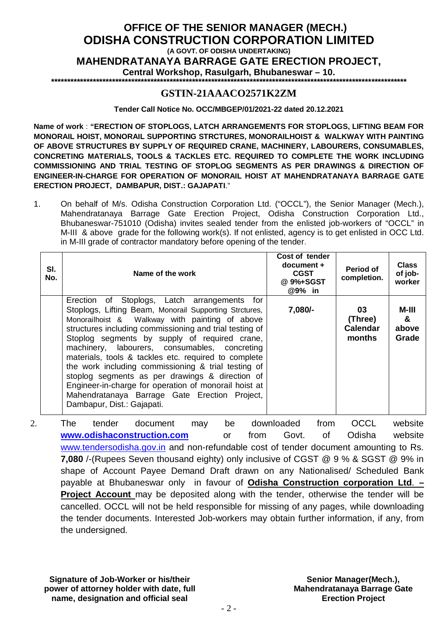## **OFFICE OF THE SENIOR MANAGER (MECH.) ODISHA CONSTRUCTION CORPORATION LIMITED (A GOVT. OF ODISHA UNDERTAKING) MAHENDRATANAYA BARRAGE GATE ERECTION PROJECT, Central Workshop, Rasulgarh, Bhubaneswar – 10.**

**\*\*\*\*\*\*\*\*\*\*\*\*\*\*\*\*\*\*\*\*\*\*\*\*\*\*\*\*\*\*\*\*\*\*\*\*\*\*\*\*\*\*\*\*\*\*\*\*\*\*\*\*\*\*\*\*\*\*\*\*\*\*\*\*\*\*\*\*\*\*\*\*\*\*\*\*\*\*\*\*\*\*\*\*\*\*\*\*\*\*\*\*\*\*\*\*\*\*\*\*\*\*\*\*\*\*\*\*\*\*\***

## **GSTIN-21AAACO2571K2ZM**

**Tender Call Notice No. OCC/MBGEP/01/2021-22 dated 20.12.2021**

**Name of work** : **"ERECTION OF STOPLOGS, LATCH ARRANGEMENTS FOR STOPLOGS, LIFTING BEAM FOR MONORAIL HOIST, MONORAIL SUPPORTING STRCTURES, MONORAILHOIST & WALKWAY WITH PAINTING OF ABOVE STRUCTURES BY SUPPLY OF REQUIRED CRANE, MACHINERY, LABOURERS, CONSUMABLES, CONCRETING MATERIALS, TOOLS & TACKLES ETC. REQUIRED TO COMPLETE THE WORK INCLUDING COMMISSIONING AND TRIAL TESTING OF STOPLOG SEGMENTS AS PER DRAWINGS & DIRECTION OF ENGINEER-IN-CHARGE FOR OPERATION OF MONORAIL HOIST AT MAHENDRATANAYA BARRAGE GATE ERECTION PROJECT, DAMBAPUR, DIST.: GAJAPATI**."

1. On behalf of M/s. Odisha Construction Corporation Ltd. ("OCCL"), the Senior Manager (Mech.), Mahendratanaya Barrage Gate Erection Project, Odisha Construction Corporation Ltd., Bhubaneswar-751010 (Odisha) invites sealed tender from the enlisted job-workers of "OCCL" in M-III & above grade for the following work(s). If not enlisted, agency is to get enlisted in OCC Ltd. in M-III grade of contractor mandatory before opening of the tender.

|    | SI.<br>No. | Name of the work                                                                                                                                                                                                                                                                                                                                                                                                                                                                                                                                                                                                                | Cost of tender<br>$document +$<br><b>CGST</b><br>@ 9%+SGST<br>@9% in                 | Period of<br>completion.                   | <b>Class</b><br>of job-<br>worker |
|----|------------|---------------------------------------------------------------------------------------------------------------------------------------------------------------------------------------------------------------------------------------------------------------------------------------------------------------------------------------------------------------------------------------------------------------------------------------------------------------------------------------------------------------------------------------------------------------------------------------------------------------------------------|--------------------------------------------------------------------------------------|--------------------------------------------|-----------------------------------|
|    |            | Erection of Stoplogs, Latch arrangements for<br>Stoplogs, Lifting Beam, Monorail Supporting Strctures,<br>Monorailhoist & Walkway with painting of above<br>structures including commissioning and trial testing of<br>Stoplog segments by supply of required crane,<br>machinery, labourers, consumables, concreting<br>materials, tools & tackles etc. required to complete<br>the work including commissioning & trial testing of<br>stoplog segments as per drawings & direction of<br>Engineer-in-charge for operation of monorail hoist at<br>Mahendratanaya Barrage Gate Erection Project,<br>Dambapur, Dist.: Gajapati. | 7,080/-                                                                              | 03<br>(Three)<br><b>Calendar</b><br>months | M-III<br>&<br>above<br>Grade      |
| 2. |            | tender<br>document<br>The<br>be<br>may<br>uninii aalialaaa amaturiatia maama<br>$ -$                                                                                                                                                                                                                                                                                                                                                                                                                                                                                                                                            | downloaded<br>from<br>$f_{\text{max}}$ $\bigcap_{n \in \mathcal{A}}$<br>$\mathbf{f}$ | <b>OCCL</b><br>$\bigcap$ dishs             | website<br>المعناد والمربرين      |

**www.odishaconstruction.com** or from Govt. of Odisha website www.tendersodisha.gov.in and non-refundable cost of tender document amounting to Rs. **7,080** /-(Rupees Seven thousand eighty) only inclusive of CGST @ 9 % & SGST @ 9% in shape of Account Payee Demand Draft drawn on any Nationalised/ Scheduled Bank payable at Bhubaneswar only in favour of **Odisha Construction corporation Ltd**. **– Project Account** may be deposited along with the tender, otherwise the tender will be cancelled. OCCL will not be held responsible for missing of any pages, while downloading the tender documents. Interested Job-workers may obtain further information, if any, from the undersigned.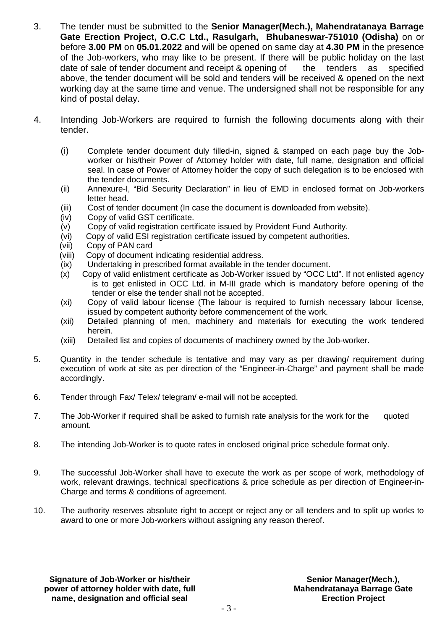- 3. The tender must be submitted to the **Senior Manager(Mech.), Mahendratanaya Barrage Gate Erection Project, O.C.C Ltd., Rasulgarh, Bhubaneswar-751010 (Odisha)** on or before **3.00 PM** on **05.01.2022** and will be opened on same day at **4.30 PM** in the presence of the Job-workers, who may like to be present. If there will be public holiday on the last date of sale of tender document and receipt & opening of the tenders as specified above, the tender document will be sold and tenders will be received & opened on the next working day at the same time and venue. The undersigned shall not be responsible for any kind of postal delay.
- 4. Intending Job-Workers are required to furnish the following documents along with their tender.
	- (i) Complete tender document duly filled-in, signed & stamped on each page buy the Jobworker or his/their Power of Attorney holder with date, full name, designation and official seal. In case of Power of Attorney holder the copy of such delegation is to be enclosed with the tender documents.
	- (ii) Annexure-I, "Bid Security Declaration" in lieu of EMD in enclosed format on Job-workers letter head.
	- (iii) Cost of tender document (In case the document is downloaded from website).
	- (iv) Copy of valid GST certificate.
	- $(v)$  Copy of valid registration certificate issued by Provident Fund Authority.
	- (vi) Copy of valid ESI registration certificate issued by competent authorities.
	- (vii) Copy of PAN card
	- (viii) Copy of document indicating residential address.
	- (ix) Undertaking in prescribed format available in the tender document.
	- (x) Copy of valid enlistment certificate as Job-Worker issued by "OCC Ltd". If not enlisted agency is to get enlisted in OCC Ltd. in M-III grade which is mandatory before opening of the tender or else the tender shall not be accepted.
	- (xi) Copy of valid labour license (The labour is required to furnish necessary labour license, issued by competent authority before commencement of the work.
	- (xii) Detailed planning of men, machinery and materials for executing the work tendered herein.
	- (xiii) Detailed list and copies of documents of machinery owned by the Job-worker.
- 5. Quantity in the tender schedule is tentative and may vary as per drawing/ requirement during execution of work at site as per direction of the "Engineer-in-Charge" and payment shall be made accordingly.
- 6. Tender through Fax/ Telex/ telegram/ e-mail will not be accepted.
- 7. The Job-Worker if required shall be asked to furnish rate analysis for the work for the quoted amount.
- 8. The intending Job-Worker is to quote rates in enclosed original price schedule format only.
- 9. The successful Job-Worker shall have to execute the work as per scope of work, methodology of work, relevant drawings, technical specifications & price schedule as per direction of Engineer-in-Charge and terms & conditions of agreement.
- 10. The authority reserves absolute right to accept or reject any or all tenders and to split up works to award to one or more Job-workers without assigning any reason thereof.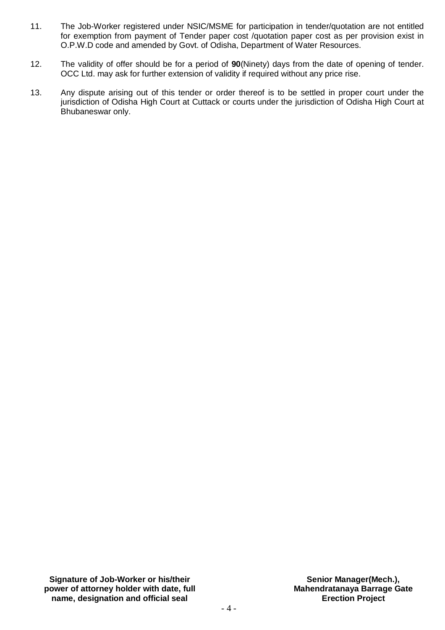- 11. The Job-Worker registered under NSIC/MSME for participation in tender/quotation are not entitled for exemption from payment of Tender paper cost /quotation paper cost as per provision exist in O.P.W.D code and amended by Govt. of Odisha, Department of Water Resources.
- 12. The validity of offer should be for a period of **90**(Ninety) days from the date of opening of tender. OCC Ltd. may ask for further extension of validity if required without any price rise.
- 13. Any dispute arising out of this tender or order thereof is to be settled in proper court under the jurisdiction of Odisha High Court at Cuttack or courts under the jurisdiction of Odisha High Court at Bhubaneswar only.

**Signature of Job-Worker or his/their power of attorney holder with date, full name, designation and official seal**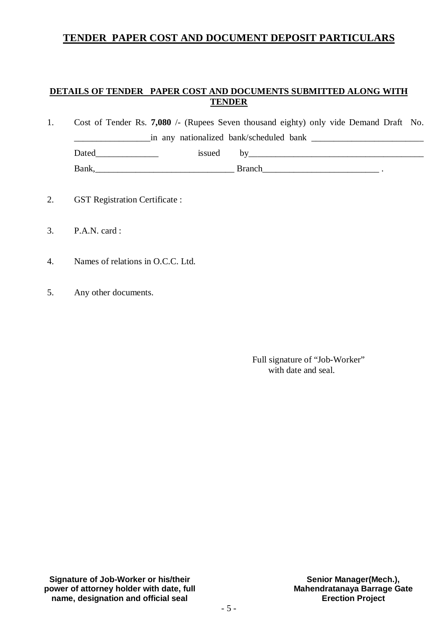## **TENDER PAPER COST AND DOCUMENT DEPOSIT PARTICULARS**

## **DETAILS OF TENDER PAPER COST AND DOCUMENTS SUBMITTED ALONG WITH TENDER**

| Cost of Tender Rs. 7,080 /- (Rupees Seven thousand eighty) only vide Demand Draft No. |                                         |               |  |  |
|---------------------------------------------------------------------------------------|-----------------------------------------|---------------|--|--|
|                                                                                       | in any nationalized bank/scheduled bank |               |  |  |
| Dated                                                                                 | issued                                  |               |  |  |
| Bank,                                                                                 |                                         | <b>Branch</b> |  |  |

- 2. GST Registration Certificate :
- 3. P.A.N. card :
- 4. Names of relations in O.C.C. Ltd.
- 5. Any other documents.

 Full signature of "Job-Worker" with date and seal.

**Signature of Job-Worker or his/their power of attorney holder with date, full name, designation and official seal**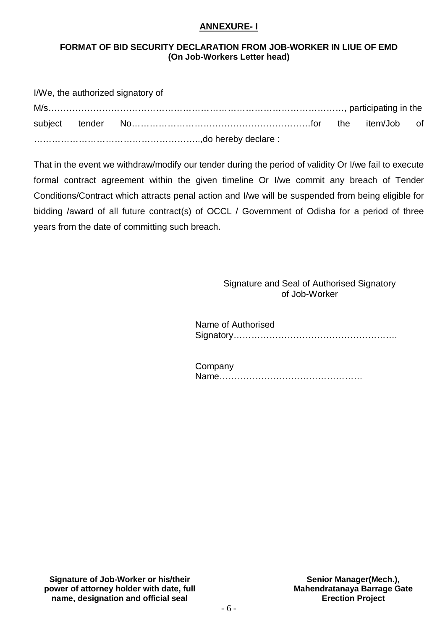#### **ANNEXURE- I**

#### **FORMAT OF BID SECURITY DECLARATION FROM JOB-WORKER IN LIUE OF EMD (On Job-Workers Letter head)**

|  | I/We, the authorized signatory of |  |  |
|--|-----------------------------------|--|--|
|  |                                   |  |  |
|  |                                   |  |  |
|  |                                   |  |  |

That in the event we withdraw/modify our tender during the period of validity Or I/we fail to execute formal contract agreement within the given timeline Or I/we commit any breach of Tender Conditions/Contract which attracts penal action and I/we will be suspended from being eligible for bidding /award of all future contract(s) of OCCL / Government of Odisha for a period of three years from the date of committing such breach.

#### Signature and Seal of Authorised Signatory of Job-Worker

 Name of Authorised Signatory……………………………………………….

| Company |  |
|---------|--|
|         |  |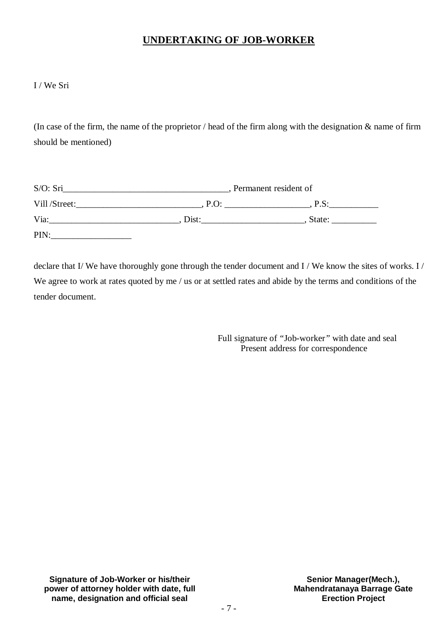## **UNDERTAKING OF JOB-WORKER**

I / We Sri

(In case of the firm, the name of the proprietor / head of the firm along with the designation  $\&$  name of firm should be mentioned)

| S/O: Sri      |       | Permanent resident of |
|---------------|-------|-----------------------|
| Vill /Street: | P.O   | P.S:                  |
| Via:          | Dist: | State:                |
| PIN:          |       |                       |

declare that I/ We have thoroughly gone through the tender document and I / We know the sites of works. I / We agree to work at rates quoted by me / us or at settled rates and abide by the terms and conditions of the tender document.

> Full signature of *"*Job-worker*"* with date and seal Present address for correspondence

**Signature of Job-Worker or his/their power of attorney holder with date, full name, designation and official seal**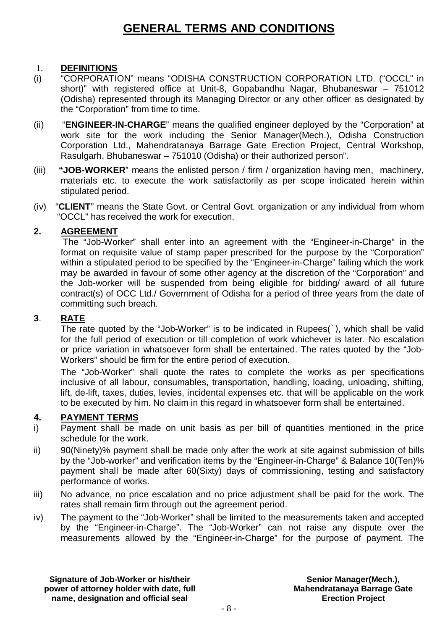## **GENERAL TERMS AND CONDITIONS**

## 1. **DEFINITIONS**

- (i) "CORPORATION" means "ODISHA CONSTRUCTION CORPORATION LTD. ("OCCL" in short)" with registered office at Unit-8, Gopabandhu Nagar, Bhubaneswar – 751012 (Odisha) represented through its Managing Director or any other officer as designated by the "Corporation" from time to time.
- (ii) "**ENGINEER-IN-CHARGE**" means the qualified engineer deployed by the "Corporation" at work site for the work including the Senior Manager(Mech.), Odisha Construction Corporation Ltd., Mahendratanaya Barrage Gate Erection Project, Central Workshop, Rasulgarh, Bhubaneswar – 751010 (Odisha) or their authorized person".
- (iii) **"JOB-WORKER**" means the enlisted person / firm / organization having men, machinery, materials etc. to execute the work satisfactorily as per scope indicated herein within stipulated period.
- (iv) "**CLIENT**" means the State Govt. or Central Govt. organization or any individual from whom "OCCL" has received the work for execution.

## **2. AGREEMENT**

The "Job-Worker" shall enter into an agreement with the "Engineer-in-Charge" in the format on requisite value of stamp paper prescribed for the purpose by the "Corporation" within a stipulated period to be specified by the "Engineer-in-Charge" failing which the work may be awarded in favour of some other agency at the discretion of the "Corporation" and the Job-worker will be suspended from being eligible for bidding/ award of all future contract(s) of OCC Ltd./ Government of Odisha for a period of three years from the date of committing such breach.

## **3**. **RATE**

The rate quoted by the "Job-Worker" is to be indicated in Rupees(`), which shall be valid for the full period of execution or till completion of work whichever is later. No escalation or price variation in whatsoever form shall be entertained. The rates quoted by the "Job-Workers" should be firm for the entire period of execution.

The "Job-Worker" shall quote the rates to complete the works as per specifications inclusive of all labour, consumables, transportation, handling, loading, unloading, shifting, lift, de-lift, taxes, duties, levies, incidental expenses etc. that will be applicable on the work to be executed by him. No claim in this regard in whatsoever form shall be entertained.

## **4. PAYMENT TERMS**

- i) Payment shall be made on unit basis as per bill of quantities mentioned in the price schedule for the work.
- ii) 90(Ninety)% payment shall be made only after the work at site against submission of bills by the "Job-worker" and verification items by the "Engineer-in-Charge" & Balance 10(Ten)% payment shall be made after 60(Sixty) days of commissioning, testing and satisfactory performance of works.
- iii) No advance, no price escalation and no price adjustment shall be paid for the work. The rates shall remain firm through out the agreement period.
- iv) The payment to the "Job-Worker" shall be limited to the measurements taken and accepted by the "Engineer-in-Charge". The "Job-Worker" can not raise any dispute over the measurements allowed by the "Engineer-in-Charge" for the purpose of payment. The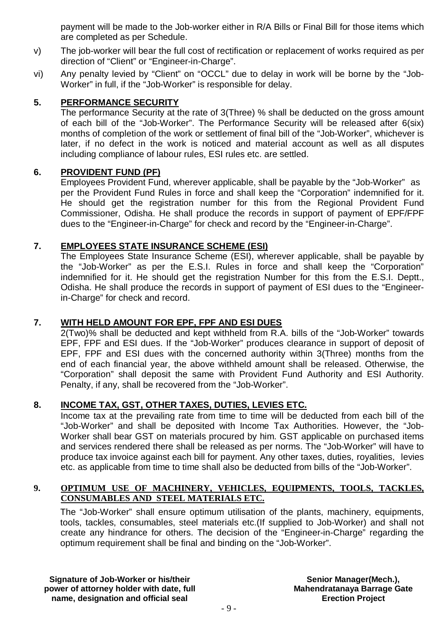payment will be made to the Job-worker either in R/A Bills or Final Bill for those items which are completed as per Schedule.

- v) The job-worker will bear the full cost of rectification or replacement of works required as per direction of "Client" or "Engineer-in-Charge".
- vi) Any penalty levied by "Client" on "OCCL" due to delay in work will be borne by the "Job-Worker" in full, if the "Job-Worker" is responsible for delay.

## **5. PERFORMANCE SECURITY**

The performance Security at the rate of 3(Three) % shall be deducted on the gross amount of each bill of the "Job-Worker". The Performance Security will be released after 6(six) months of completion of the work or settlement of final bill of the "Job-Worker", whichever is later, if no defect in the work is noticed and material account as well as all disputes including compliance of labour rules, ESI rules etc. are settled.

#### **6. PROVIDENT FUND (PF)**

Employees Provident Fund, wherever applicable, shall be payable by the "Job-Worker" as per the Provident Fund Rules in force and shall keep the "Corporation" indemnified for it. He should get the registration number for this from the Regional Provident Fund Commissioner, Odisha. He shall produce the records in support of payment of EPF/FPF dues to the "Engineer-in-Charge" for check and record by the "Engineer-in-Charge".

## **7. EMPLOYEES STATE INSURANCE SCHEME (ESI)**

The Employees State Insurance Scheme (ESI), wherever applicable, shall be payable by the "Job-Worker" as per the E.S.I. Rules in force and shall keep the "Corporation" indemnified for it. He should get the registration Number for this from the E.S.I. Deptt., Odisha. He shall produce the records in support of payment of ESI dues to the "Engineerin-Charge" for check and record.

## **7. WITH HELD AMOUNT FOR EPF, FPF AND ESI DUES**

2(Two)% shall be deducted and kept withheld from R.A. bills of the "Job-Worker" towards EPF, FPF and ESI dues. If the "Job-Worker" produces clearance in support of deposit of EPF, FPF and ESI dues with the concerned authority within 3(Three) months from the end of each financial year, the above withheld amount shall be released. Otherwise, the "Corporation" shall deposit the same with Provident Fund Authority and ESI Authority. Penalty, if any, shall be recovered from the "Job-Worker".

## **8. INCOME TAX, GST, OTHER TAXES, DUTIES, LEVIES ETC.**

Income tax at the prevailing rate from time to time will be deducted from each bill of the "Job-Worker" and shall be deposited with Income Tax Authorities. However, the "Job-Worker shall bear GST on materials procured by him. GST applicable on purchased items and services rendered there shall be released as per norms. The "Job-Worker" will have to produce tax invoice against each bill for payment. Any other taxes, duties, royalities, levies etc. as applicable from time to time shall also be deducted from bills of the "Job-Worker".

### **9. OPTIMUM USE OF MACHINERY, VEHICLES, EQUIPMENTS, TOOLS, TACKLES, CONSUMABLES AND STEEL MATERIALS ETC.**

The "Job-Worker" shall ensure optimum utilisation of the plants, machinery, equipments, tools, tackles, consumables, steel materials etc.(If supplied to Job-Worker) and shall not create any hindrance for others. The decision of the "Engineer-in-Charge" regarding the optimum requirement shall be final and binding on the "Job-Worker".

**Signature of Job-Worker or his/their power of attorney holder with date, full name, designation and official seal**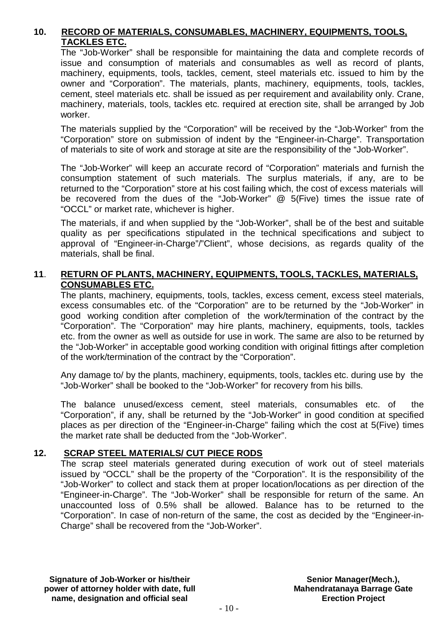## **10. RECORD OF MATERIALS, CONSUMABLES, MACHINERY, EQUIPMENTS, TOOLS, TACKLES ETC.**

The "Job-Worker" shall be responsible for maintaining the data and complete records of issue and consumption of materials and consumables as well as record of plants, machinery, equipments, tools, tackles, cement, steel materials etc. issued to him by the owner and "Corporation". The materials, plants, machinery, equipments, tools, tackles, cement, steel materials etc. shall be issued as per requirement and availability only. Crane, machinery, materials, tools, tackles etc. required at erection site, shall be arranged by Job worker.

The materials supplied by the "Corporation" will be received by the "Job-Worker" from the "Corporation" store on submission of indent by the "Engineer-in-Charge". Transportation of materials to site of work and storage at site are the responsibility of the "Job-Worker".

The "Job-Worker" will keep an accurate record of "Corporation" materials and furnish the consumption statement of such materials. The surplus materials, if any, are to be returned to the "Corporation" store at his cost failing which, the cost of excess materials will be recovered from the dues of the "Job-Worker" @ 5(Five) times the issue rate of "OCCL" or market rate, whichever is higher.

The materials, if and when supplied by the "Job-Worker", shall be of the best and suitable quality as per specifications stipulated in the technical specifications and subject to approval of "Engineer-in-Charge"/"Client", whose decisions, as regards quality of the materials, shall be final.

## **11**. **RETURN OF PLANTS, MACHINERY, EQUIPMENTS, TOOLS, TACKLES, MATERIALS, CONSUMABLES ETC.**

The plants, machinery, equipments, tools, tackles, excess cement, excess steel materials, excess consumables etc. of the "Corporation" are to be returned by the "Job-Worker" in good working condition after completion of the work/termination of the contract by the "Corporation". The "Corporation" may hire plants, machinery, equipments, tools, tackles etc. from the owner as well as outside for use in work. The same are also to be returned by the "Job-Worker" in acceptable good working condition with original fittings after completion of the work/termination of the contract by the "Corporation".

Any damage to/ by the plants, machinery, equipments, tools, tackles etc. during use by the "Job-Worker" shall be booked to the "Job-Worker" for recovery from his bills.

The balance unused/excess cement, steel materials, consumables etc. of the "Corporation", if any, shall be returned by the "Job-Worker" in good condition at specified places as per direction of the "Engineer-in-Charge" failing which the cost at 5(Five) times the market rate shall be deducted from the "Job-Worker".

#### **12. SCRAP STEEL MATERIALS/ CUT PIECE RODS**

The scrap steel materials generated during execution of work out of steel materials issued by "OCCL" shall be the property of the "Corporation". It is the responsibility of the "Job-Worker" to collect and stack them at proper location/locations as per direction of the "Engineer-in-Charge". The "Job-Worker" shall be responsible for return of the same. An unaccounted loss of 0.5% shall be allowed. Balance has to be returned to the "Corporation". In case of non-return of the same, the cost as decided by the "Engineer-in-Charge" shall be recovered from the "Job-Worker".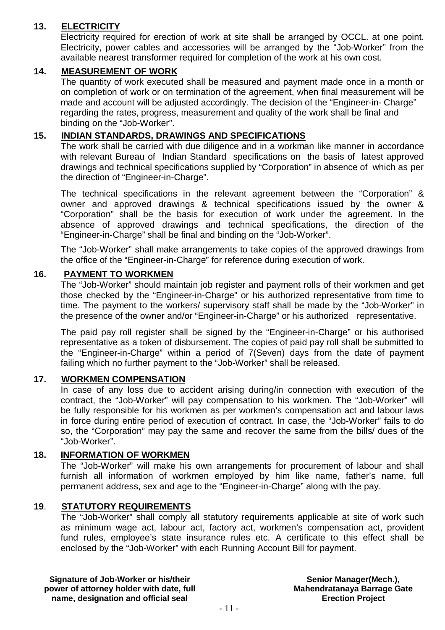## **13. ELECTRICITY**

Electricity required for erection of work at site shall be arranged by OCCL. at one point. Electricity, power cables and accessories will be arranged by the "Job-Worker" from the available nearest transformer required for completion of the work at his own cost.

## **14. MEASUREMENT OF WORK**

The quantity of work executed shall be measured and payment made once in a month or on completion of work or on termination of the agreement, when final measurement will be made and account will be adjusted accordingly. The decision of the "Engineer-in- Charge" regarding the rates, progress, measurement and quality of the work shall be final and binding on the "Job-Worker".

## **15. INDIAN STANDARDS, DRAWINGS AND SPECIFICATIONS**

The work shall be carried with due diligence and in a workman like manner in accordance with relevant Bureau of Indian Standard specifications on the basis of latest approved drawings and technical specifications supplied by "Corporation" in absence of which as per the direction of "Engineer-in-Charge".

The technical specifications in the relevant agreement between the "Corporation" & owner and approved drawings & technical specifications issued by the owner & "Corporation" shall be the basis for execution of work under the agreement. In the absence of approved drawings and technical specifications, the direction of the "Engineer-in-Charge" shall be final and binding on the "Job-Worker".

The "Job-Worker" shall make arrangements to take copies of the approved drawings from the office of the "Engineer-in-Charge" for reference during execution of work.

#### **16. PAYMENT TO WORKMEN**

The "Job-Worker" should maintain job register and payment rolls of their workmen and get those checked by the "Engineer-in-Charge" or his authorized representative from time to time. The payment to the workers/ supervisory staff shall be made by the "Job-Worker" in the presence of the owner and/or "Engineer-in-Charge" or his authorized representative.

The paid pay roll register shall be signed by the "Engineer-in-Charge" or his authorised representative as a token of disbursement. The copies of paid pay roll shall be submitted to the "Engineer-in-Charge" within a period of 7(Seven) days from the date of payment failing which no further payment to the "Job-Worker" shall be released.

#### **17. WORKMEN COMPENSATION**

In case of any loss due to accident arising during/in connection with execution of the contract, the "Job-Worker" will pay compensation to his workmen. The "Job-Worker" will be fully responsible for his workmen as per workmen's compensation act and labour laws in force during entire period of execution of contract. In case, the "Job-Worker" fails to do so, the "Corporation" may pay the same and recover the same from the bills/ dues of the "Job-Worker".

## **18. INFORMATION OF WORKMEN**

The "Job-Worker" will make his own arrangements for procurement of labour and shall furnish all information of workmen employed by him like name, father's name, full permanent address, sex and age to the "Engineer-in-Charge" along with the pay.

## **19**. **STATUTORY REQUIREMENTS**

The "Job-Worker" shall comply all statutory requirements applicable at site of work such as minimum wage act, labour act, factory act, workmen's compensation act, provident fund rules, employee's state insurance rules etc. A certificate to this effect shall be enclosed by the "Job-Worker" with each Running Account Bill for payment.

**Signature of Job-Worker or his/their power of attorney holder with date, full name, designation and official seal**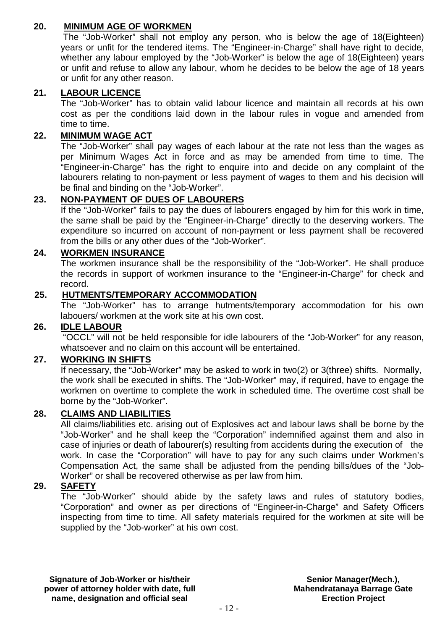## **20. MINIMUM AGE OF WORKMEN**

The "Job-Worker" shall not employ any person, who is below the age of 18(Eighteen) years or unfit for the tendered items. The "Engineer-in-Charge" shall have right to decide, whether any labour employed by the "Job-Worker" is below the age of 18(Eighteen) years or unfit and refuse to allow any labour, whom he decides to be below the age of 18 years or unfit for any other reason.

## **21. LABOUR LICENCE**

The "Job-Worker" has to obtain valid labour licence and maintain all records at his own cost as per the conditions laid down in the labour rules in vogue and amended from time to time.

## **22. MINIMUM WAGE ACT**

The "Job-Worker" shall pay wages of each labour at the rate not less than the wages as per Minimum Wages Act in force and as may be amended from time to time. The "Engineer-in-Charge" has the right to enquire into and decide on any complaint of the labourers relating to non-payment or less payment of wages to them and his decision will be final and binding on the "Job-Worker".

## **23. NON-PAYMENT OF DUES OF LABOURERS**

If the "Job-Worker" fails to pay the dues of labourers engaged by him for this work in time, the same shall be paid by the "Engineer-in-Charge" directly to the deserving workers. The expenditure so incurred on account of non-payment or less payment shall be recovered from the bills or any other dues of the "Job-Worker".

## **24. WORKMEN INSURANCE**

The workmen insurance shall be the responsibility of the "Job-Worker". He shall produce the records in support of workmen insurance to the "Engineer-in-Charge" for check and record.

## **25. HUTMENTS/TEMPORARY ACCOMMODATION**

The "Job-Worker" has to arrange hutments/temporary accommodation for his own labouers/ workmen at the work site at his own cost.

## **26. IDLE LABOUR**

"OCCL" will not be held responsible for idle labourers of the "Job-Worker" for any reason, whatsoever and no claim on this account will be entertained.

## **27. WORKING IN SHIFTS**

If necessary, the "Job-Worker" may be asked to work in two(2) or 3(three) shifts. Normally, the work shall be executed in shifts. The "Job-Worker" may, if required, have to engage the workmen on overtime to complete the work in scheduled time. The overtime cost shall be borne by the "Job-Worker".

## **28. CLAIMS AND LIABILITIES**

All claims/liabilities etc. arising out of Explosives act and labour laws shall be borne by the "Job-Worker" and he shall keep the "Corporation" indemnified against them and also in case of injuries or death of labourer(s) resulting from accidents during the execution of the work. In case the "Corporation" will have to pay for any such claims under Workmen's Compensation Act, the same shall be adjusted from the pending bills/dues of the "Job-Worker" or shall be recovered otherwise as per law from him.

#### **29. SAFETY**

The "Job-Worker" should abide by the safety laws and rules of statutory bodies, "Corporation" and owner as per directions of "Engineer-in-Charge" and Safety Officers inspecting from time to time. All safety materials required for the workmen at site will be supplied by the "Job-worker" at his own cost.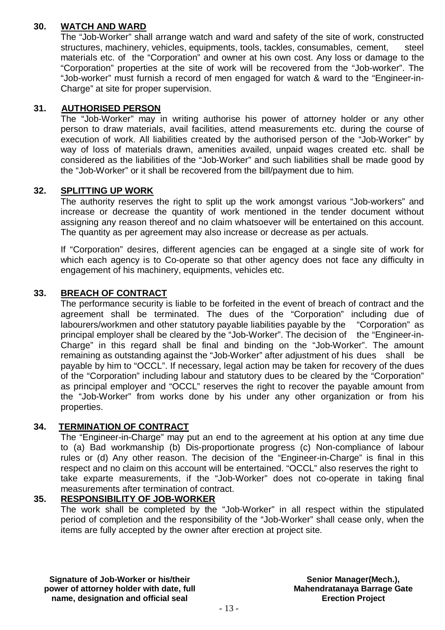## **30. WATCH AND WARD**

The "Job-Worker" shall arrange watch and ward and safety of the site of work, constructed structures, machinery, vehicles, equipments, tools, tackles, consumables, cement, steel materials etc. of the "Corporation" and owner at his own cost. Any loss or damage to the "Corporation" properties at the site of work will be recovered from the "Job-worker". The "Job-worker" must furnish a record of men engaged for watch & ward to the "Engineer-in-Charge" at site for proper supervision.

## **31. AUTHORISED PERSON**

The "Job-Worker" may in writing authorise his power of attorney holder or any other person to draw materials, avail facilities, attend measurements etc. during the course of execution of work. All liabilities created by the authorised person of the "Job-Worker" by way of loss of materials drawn, amenities availed, unpaid wages created etc. shall be considered as the liabilities of the "Job-Worker" and such liabilities shall be made good by the "Job-Worker" or it shall be recovered from the bill/payment due to him.

## **32. SPLITTING UP WORK**

The authority reserves the right to split up the work amongst various "Job-workers" and increase or decrease the quantity of work mentioned in the tender document without assigning any reason thereof and no claim whatsoever will be entertained on this account. The quantity as per agreement may also increase or decrease as per actuals.

If "Corporation" desires, different agencies can be engaged at a single site of work for which each agency is to Co-operate so that other agency does not face any difficulty in engagement of his machinery, equipments, vehicles etc.

## **33. BREACH OF CONTRACT**

The performance security is liable to be forfeited in the event of breach of contract and the agreement shall be terminated. The dues of the "Corporation" including due of labourers/workmen and other statutory payable liabilities payable by the "Corporation" as principal employer shall be cleared by the "Job-Worker". The decision of the "Engineer-in-Charge" in this regard shall be final and binding on the "Job-Worker". The amount remaining as outstanding against the "Job-Worker" after adjustment of his dues shall be payable by him to "OCCL". If necessary, legal action may be taken for recovery of the dues of the "Corporation" including labour and statutory dues to be cleared by the "Corporation" as principal employer and "OCCL" reserves the right to recover the payable amount from the "Job-Worker" from works done by his under any other organization or from his properties.

## **34. TERMINATION OF CONTRACT**

The "Engineer-in-Charge" may put an end to the agreement at his option at any time due to (a) Bad workmanship (b) Dis-proportionate progress (c) Non-compliance of labour rules or (d) Any other reason. The decision of the "Engineer-in-Charge" is final in this respect and no claim on this account will be entertained. "OCCL" also reserves the right to take exparte measurements, if the "Job-Worker" does not co-operate in taking final measurements after termination of contract.

## **35. RESPONSIBILITY OF JOB-WORKER**

The work shall be completed by the "Job-Worker" in all respect within the stipulated period of completion and the responsibility of the "Job-Worker" shall cease only, when the items are fully accepted by the owner after erection at project site.

**Signature of Job-Worker or his/their power of attorney holder with date, full name, designation and official seal**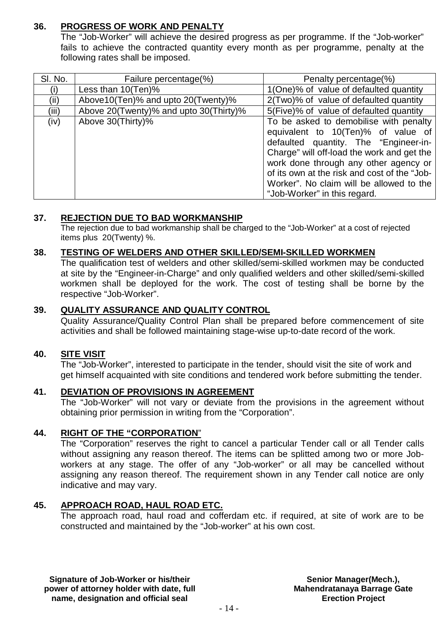## **36. PROGRESS OF WORK AND PENALTY**

The "Job-Worker" will achieve the desired progress as per programme. If the "Job-worker" fails to achieve the contracted quantity every month as per programme, penalty at the following rates shall be imposed.

| SI. No. | Failure percentage(%)                  | Penalty percentage(%)                                                                                                                                                                                                                                                                                                                    |
|---------|----------------------------------------|------------------------------------------------------------------------------------------------------------------------------------------------------------------------------------------------------------------------------------------------------------------------------------------------------------------------------------------|
|         | Less than $10(Ten)\%$                  | 1(One)% of value of defaulted quantity                                                                                                                                                                                                                                                                                                   |
| (ii)    | Above10(Ten)% and upto 20(Twenty)%     | 2(Two)% of value of defaulted quantity                                                                                                                                                                                                                                                                                                   |
| (iii)   | Above 20(Twenty)% and upto 30(Thirty)% | 5(Five)% of value of defaulted quantity                                                                                                                                                                                                                                                                                                  |
| (iv)    | Above 30(Thirty)%                      | To be asked to demobilise with penalty<br>equivalent to 10(Ten)% of value of<br>defaulted quantity. The "Engineer-in-<br>Charge" will off-load the work and get the<br>work done through any other agency or<br>of its own at the risk and cost of the "Job-<br>Worker". No claim will be allowed to the<br>"Job-Worker" in this regard. |

## **37. REJECTION DUE TO BAD WORKMANSHIP**

The rejection due to bad workmanship shall be charged to the "Job-Worker" at a cost of rejected items plus 20(Twenty) %.

## **38. TESTING OF WELDERS AND OTHER SKILLED/SEMI-SKILLED WORKMEN**

The qualification test of welders and other skilled/semi-skilled workmen may be conducted at site by the "Engineer-in-Charge" and only qualified welders and other skilled/semi-skilled workmen shall be deployed for the work. The cost of testing shall be borne by the respective "Job-Worker".

## **39. QUALITY ASSURANCE AND QUALITY CONTROL**

Quality Assurance/Quality Control Plan shall be prepared before commencement of site activities and shall be followed maintaining stage-wise up-to-date record of the work.

## **40. SITE VISIT**

The "Job-Worker", interested to participate in the tender, should visit the site of work and get himself acquainted with site conditions and tendered work before submitting the tender.

#### **41. DEVIATION OF PROVISIONS IN AGREEMENT**

The "Job-Worker" will not vary or deviate from the provisions in the agreement without obtaining prior permission in writing from the "Corporation".

## **44. RIGHT OF THE "CORPORATION**"

The "Corporation" reserves the right to cancel a particular Tender call or all Tender calls without assigning any reason thereof. The items can be splitted among two or more Jobworkers at any stage. The offer of any "Job-worker" or all may be cancelled without assigning any reason thereof. The requirement shown in any Tender call notice are only indicative and may vary.

#### **45. APPROACH ROAD, HAUL ROAD ETC.**

The approach road, haul road and cofferdam etc. if required, at site of work are to be constructed and maintained by the "Job-worker" at his own cost.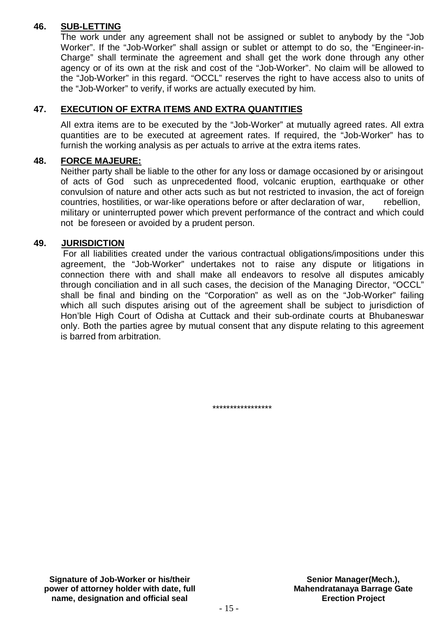## **46. SUB-LETTING**

The work under any agreement shall not be assigned or sublet to anybody by the "Job Worker". If the "Job-Worker" shall assign or sublet or attempt to do so, the "Engineer-in-Charge" shall terminate the agreement and shall get the work done through any other agency or of its own at the risk and cost of the "Job-Worker". No claim will be allowed to the "Job-Worker" in this regard. "OCCL" reserves the right to have access also to units of the "Job-Worker" to verify, if works are actually executed by him.

## **47. EXECUTION OF EXTRA ITEMS AND EXTRA QUANTITIES**

All extra items are to be executed by the "Job-Worker" at mutually agreed rates. All extra quantities are to be executed at agreement rates. If required, the "Job-Worker" has to furnish the working analysis as per actuals to arrive at the extra items rates.

## **48. FORCE MAJEURE:**

Neither party shall be liable to the other for any loss or damage occasioned by or arisingout of acts of God such as unprecedented flood, volcanic eruption, earthquake or other convulsion of nature and other acts such as but not restricted to invasion, the act of foreign countries, hostilities, or war-like operations before or after declaration of war, rebellion, military or uninterrupted power which prevent performance of the contract and which could not be foreseen or avoided by a prudent person.

#### **49. JURISDICTION**

For all liabilities created under the various contractual obligations/impositions under this agreement, the "Job-Worker" undertakes not to raise any dispute or litigations in connection there with and shall make all endeavors to resolve all disputes amicably through conciliation and in all such cases, the decision of the Managing Director, "OCCL" shall be final and binding on the "Corporation" as well as on the "Job-Worker" failing which all such disputes arising out of the agreement shall be subject to jurisdiction of Hon'ble High Court of Odisha at Cuttack and their sub-ordinate courts at Bhubaneswar only. Both the parties agree by mutual consent that any dispute relating to this agreement is barred from arbitration.

\*\*\*\*\*\*\*\*\*\*\*\*\*\*\*\*\*

**Signature of Job-Worker or his/their power of attorney holder with date, full name, designation and official seal**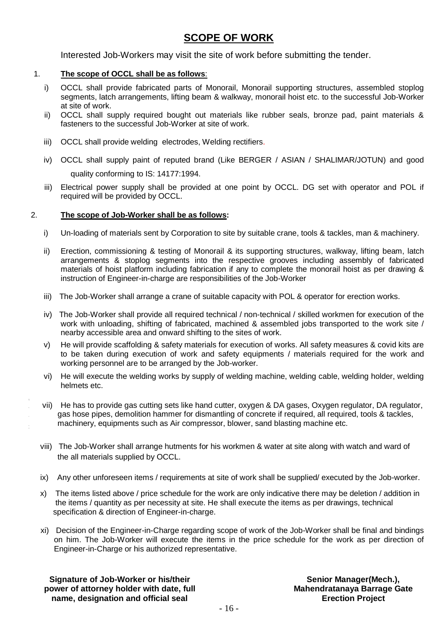## **SCOPE OF WORK**

Interested Job-Workers may visit the site of work before submitting the tender.

#### 1. **The scope of OCCL shall be as follows**:

- i) OCCL shall provide fabricated parts of Monorail, Monorail supporting structures, assembled stoplog segments, latch arrangements, lifting beam & walkway, monorail hoist etc. to the successful Job-Worker at site of work.
- ii) OCCL shall supply required bought out materials like rubber seals, bronze pad, paint materials & fasteners to the successful Job-Worker at site of work.
- iii) OCCL shall provide welding electrodes, Welding rectifiers.
- iv) OCCL shall supply paint of reputed brand (Like BERGER / ASIAN / SHALIMAR/JOTUN) and good quality conforming to IS: 14177:1994.
- iii) Electrical power supply shall be provided at one point by OCCL. DG set with operator and POL if required will be provided by OCCL.

#### 2. **The scope of Job-Worker shall be as follows:**

- i) Un-loading of materials sent by Corporation to site by suitable crane, tools & tackles, man & machinery.
- ii) Erection, commissioning & testing of Monorail & its supporting structures, walkway, lifting beam, latch arrangements & stoplog segments into the respective grooves including assembly of fabricated materials of hoist platform including fabrication if any to complete the monorail hoist as per drawing & instruction of Engineer-in-charge are responsibilities of the Job-Worker
- iii) The Job-Worker shall arrange a crane of suitable capacity with POL & operator for erection works.
- iv) The Job-Worker shall provide all required technical / non-technical / skilled workmen for execution of the work with unloading, shifting of fabricated, machined & assembled jobs transported to the work site / nearby accessible area and onward shifting to the sites of work.
- v) He will provide scaffolding & safety materials for execution of works. All safety measures & covid kits are to be taken during execution of work and safety equipments / materials required for the work and working personnel are to be arranged by the Job-worker.
- vi) He will execute the welding works by supply of welding machine, welding cable, welding holder, welding helmets etc.
- vii) He has to provide gas cutting sets like hand cutter, oxygen & DA gases, Oxygen regulator, DA regulator, gas hose pipes, demolition hammer for dismantling of concrete if required, all required, tools & tackles, machinery, equipments such as Air compressor, blower, sand blasting machine etc.
- viii) The Job-Worker shall arrange hutments for his workmen & water at site along with watch and ward of the all materials supplied by OCCL.
- ix) Any other unforeseen items / requirements at site of work shall be supplied/ executed by the Job-worker.
- x) The items listed above / price schedule for the work are only indicative there may be deletion / addition in the items / quantity as per necessity at site. He shall execute the items as per drawings, technical specification & direction of Engineer-in-charge.
- xi) Decision of the Engineer-in-Charge regarding scope of work of the Job-Worker shall be final and bindings on him. The Job-Worker will execute the items in the price schedule for the work as per direction of Engineer-in-Charge or his authorized representative.

**Signature of Job-Worker or his/their power of attorney holder with date, full name, designation and official seal**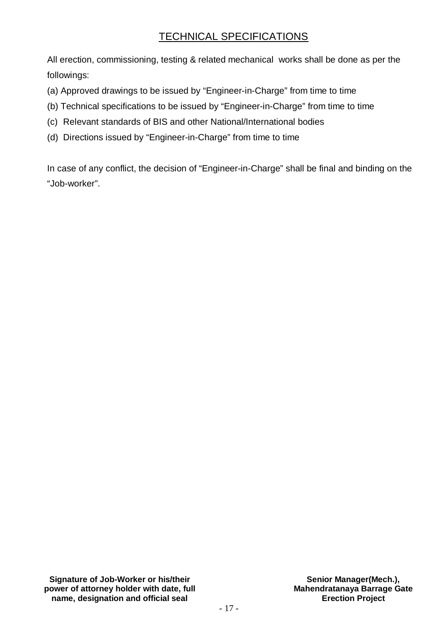## TECHNICAL SPECIFICATIONS

All erection, commissioning, testing & related mechanical works shall be done as per the followings:

- (a) Approved drawings to be issued by "Engineer-in-Charge" from time to time
- (b) Technical specifications to be issued by "Engineer-in-Charge" from time to time
- (c) Relevant standards of BIS and other National/International bodies
- (d) Directions issued by "Engineer-in-Charge" from time to time

In case of any conflict, the decision of "Engineer-in-Charge" shall be final and binding on the "Job-worker".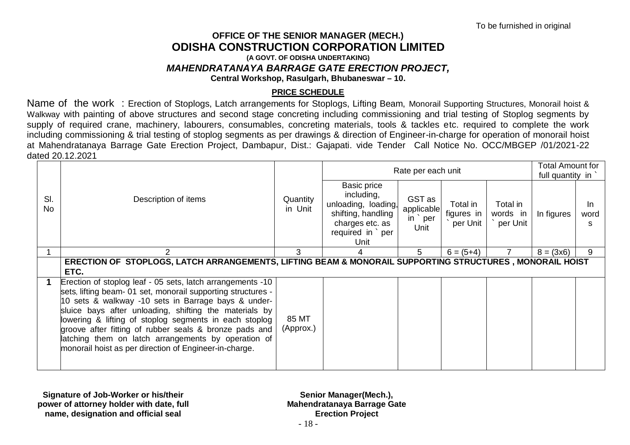#### **OFFICE OF THE SENIOR MANAGER (MECH.) ODISHA CONSTRUCTION CORPORATION LIMITED (A GOVT. OF ODISHA UNDERTAKING)**  *MAHENDRATANAYA BARRAGE GATE ERECTION PROJECT,* **Central Workshop, Rasulgarh, Bhubaneswar – 10.**

#### **PRICE SCHEDULE**

Name of the work : Erection of Stoplogs, Latch arrangements for Stoplogs, Lifting Beam, Monorail Supporting Structures, Monorail hoist & Walkway with painting of above structures and second stage concreting including commissioning and trial testing of Stoplog segments by supply of required crane, machinery, labourers, consumables, concreting materials, tools & tackles etc. required to complete the work including commissioning & trial testing of stoplog segments as per drawings & direction of Engineer-in-charge for operation of monorail hoist at Mahendratanaya Barrage Gate Erection Project, Dambapur, Dist.: Gajapati. vide Tender Call Notice No. OCC/MBGEP /01/2021-22 dated 20.12.2021

|                  |                                                                                                                                                                                                                                                                                                                                                                                                                                                                                  |                     |                                                                                                                      | Rate per each unit                                 |                                    |                                  | <b>Total Amount for</b><br>full quantity in |                        |
|------------------|----------------------------------------------------------------------------------------------------------------------------------------------------------------------------------------------------------------------------------------------------------------------------------------------------------------------------------------------------------------------------------------------------------------------------------------------------------------------------------|---------------------|----------------------------------------------------------------------------------------------------------------------|----------------------------------------------------|------------------------------------|----------------------------------|---------------------------------------------|------------------------|
| SI.<br><b>No</b> | Description of items                                                                                                                                                                                                                                                                                                                                                                                                                                                             | Quantity<br>in Unit | Basic price<br>including,<br>unloading, loading,<br>shifting, handling<br>charges etc. as<br>required in per<br>Unit | GST as<br>applicable<br>$in$ $\degree$ per<br>Unit | Total in<br>figures in<br>per Unit | Total in<br>words in<br>per Unit | In figures                                  | <b>In</b><br>word<br>S |
|                  | っ                                                                                                                                                                                                                                                                                                                                                                                                                                                                                | 3                   | 4                                                                                                                    | 5                                                  | $6 = (5+4)$                        |                                  | $8 = (3x6)$                                 | 9                      |
|                  | ERECTION OF STOPLOGS, LATCH ARRANGEMENTS, LIFTING BEAM & MONORAIL SUPPORTING STRUCTURES, MONORAIL HOIST<br>ETC.                                                                                                                                                                                                                                                                                                                                                                  |                     |                                                                                                                      |                                                    |                                    |                                  |                                             |                        |
|                  | Erection of stoplog leaf - 05 sets, latch arrangements -10<br>sets, lifting beam- 01 set, monorail supporting structures -<br>10 sets & walkway -10 sets in Barrage bays & under-<br>sluice bays after unloading, shifting the materials by<br>lowering & lifting of stoplog segments in each stoplog<br>groove after fitting of rubber seals & bronze pads and<br>latching them on latch arrangements by operation of<br>monorail hoist as per direction of Engineer-in-charge. | 85 MT<br>(Approx.)  |                                                                                                                      |                                                    |                                    |                                  |                                             |                        |

**Signature of Job-Worker or his/their power of attorney holder with date, full name, designation and official seal**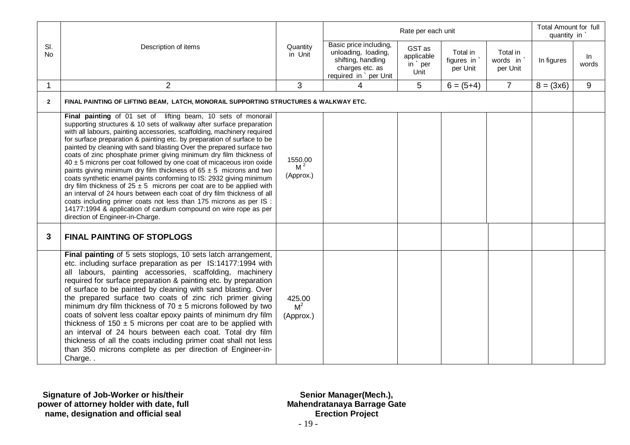|                  |                                                                                                                                                                                                                                                                                                                                                                                                                                                                                                                                                                                                                                                                                                                                                                                                                                                                                                                                                                                                             |                                        |                                                                                                                 | Rate per each unit                     |                                    |                                  | <b>Total Amount for full</b><br>quantity in |                |
|------------------|-------------------------------------------------------------------------------------------------------------------------------------------------------------------------------------------------------------------------------------------------------------------------------------------------------------------------------------------------------------------------------------------------------------------------------------------------------------------------------------------------------------------------------------------------------------------------------------------------------------------------------------------------------------------------------------------------------------------------------------------------------------------------------------------------------------------------------------------------------------------------------------------------------------------------------------------------------------------------------------------------------------|----------------------------------------|-----------------------------------------------------------------------------------------------------------------|----------------------------------------|------------------------------------|----------------------------------|---------------------------------------------|----------------|
| SI.<br><b>No</b> | Description of items                                                                                                                                                                                                                                                                                                                                                                                                                                                                                                                                                                                                                                                                                                                                                                                                                                                                                                                                                                                        | Quantity<br>in Unit                    | Basic price including,<br>unloading, loading,<br>shifting, handling<br>charges etc. as<br>required in `per Unit | GST as<br>applicable<br>in per<br>Unit | Total in<br>figures in<br>per Unit | Total in<br>words in<br>per Unit | In figures                                  | $\ln$<br>words |
|                  | $\overline{2}$                                                                                                                                                                                                                                                                                                                                                                                                                                                                                                                                                                                                                                                                                                                                                                                                                                                                                                                                                                                              | $\mathfrak{S}$                         | 4                                                                                                               | 5                                      | $6 = (5+4)$                        | $\overline{7}$                   | $8 = (3x6)$                                 | 9              |
| $\overline{2}$   | FINAL PAINTING OF LIFTING BEAM, LATCH, MONORAIL SUPPORTING STRUCTURES & WALKWAY ETC.                                                                                                                                                                                                                                                                                                                                                                                                                                                                                                                                                                                                                                                                                                                                                                                                                                                                                                                        |                                        |                                                                                                                 |                                        |                                    |                                  |                                             |                |
|                  | Final painting of 01 set of lifting beam, 10 sets of monorail<br>supporting structures & 10 sets of walkway after surface preparation<br>with all labours, painting accessories, scaffolding, machinery required<br>for surface preparation & painting etc. by preparation of surface to be<br>painted by cleaning with sand blasting Over the prepared surface two<br>coats of zinc phosphate primer giving minimum dry film thickness of<br>$40 \pm 5$ microns per coat followed by one coat of micaceous iron oxide<br>paints giving minimum dry film thickness of $65 \pm 5$ microns and two<br>coats synthetic enamel paints conforming to IS: 2932 giving minimum<br>dry film thickness of $25 \pm 5$ microns per coat are to be applied with<br>an interval of 24 hours between each coat of dry film thickness of all<br>coats including primer coats not less than 175 microns as per IS :<br>14177:1994 & application of cardium compound on wire rope as per<br>direction of Engineer-in-Charge. | 1550.00<br>M <sup>2</sup><br>(Approx.) |                                                                                                                 |                                        |                                    |                                  |                                             |                |
| 3                | <b>FINAL PAINTING OF STOPLOGS</b>                                                                                                                                                                                                                                                                                                                                                                                                                                                                                                                                                                                                                                                                                                                                                                                                                                                                                                                                                                           |                                        |                                                                                                                 |                                        |                                    |                                  |                                             |                |
|                  | Final painting of 5 sets stoplogs, 10 sets latch arrangement,<br>etc. including surface preparation as per IS:14177:1994 with<br>all labours, painting accessories, scaffolding, machinery<br>required for surface preparation & painting etc. by preparation<br>of surface to be painted by cleaning with sand blasting. Over<br>the prepared surface two coats of zinc rich primer giving<br>minimum dry film thickness of $70 \pm 5$ microns followed by two<br>coats of solvent less coaltar epoxy paints of minimum dry film<br>thickness of $150 \pm 5$ microns per coat are to be applied with<br>an interval of 24 hours between each coat. Total dry film<br>thickness of all the coats including primer coat shall not less<br>than 350 microns complete as per direction of Engineer-in-<br>Charge                                                                                                                                                                                               | 425.00<br>M <sup>2</sup><br>(Approx.)  |                                                                                                                 |                                        |                                    |                                  |                                             |                |

**Signature of Job-Worker or his/their power of attorney holder with date, full name, designation and official seal**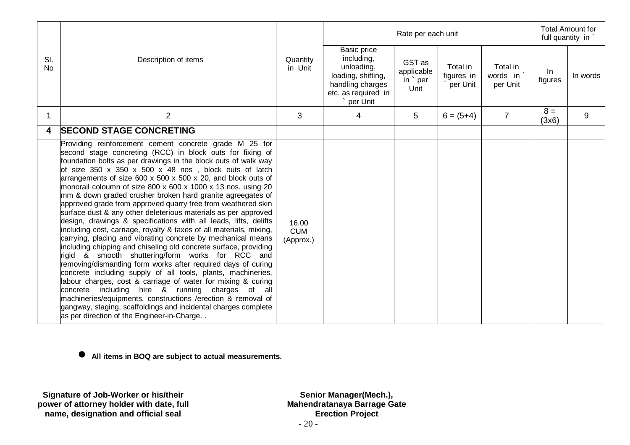|                  |                                                                                                                                                                                                                                                                                                                                                                                                                                                                                                                                                                                                                                                                                                                                                                                                                                                                                                                                                                                                                                                                                                                                                                                                                                                                                                                                                                         |                                  |                                                                                                                      | Rate per each unit                       |                                    |                                  | full quantity in | <b>Total Amount for</b> |
|------------------|-------------------------------------------------------------------------------------------------------------------------------------------------------------------------------------------------------------------------------------------------------------------------------------------------------------------------------------------------------------------------------------------------------------------------------------------------------------------------------------------------------------------------------------------------------------------------------------------------------------------------------------------------------------------------------------------------------------------------------------------------------------------------------------------------------------------------------------------------------------------------------------------------------------------------------------------------------------------------------------------------------------------------------------------------------------------------------------------------------------------------------------------------------------------------------------------------------------------------------------------------------------------------------------------------------------------------------------------------------------------------|----------------------------------|----------------------------------------------------------------------------------------------------------------------|------------------------------------------|------------------------------------|----------------------------------|------------------|-------------------------|
| SI.<br><b>No</b> | Description of items                                                                                                                                                                                                                                                                                                                                                                                                                                                                                                                                                                                                                                                                                                                                                                                                                                                                                                                                                                                                                                                                                                                                                                                                                                                                                                                                                    | Quantity<br>in Unit              | Basic price<br>including,<br>unloading,<br>loading, shifting,<br>handling charges<br>etc. as required in<br>per Unit | GST as<br>applicable<br>in ` per<br>Unit | Total in<br>figures in<br>per Unit | Total in<br>words in<br>per Unit | In<br>figures    | In words                |
| 1                | $\overline{2}$                                                                                                                                                                                                                                                                                                                                                                                                                                                                                                                                                                                                                                                                                                                                                                                                                                                                                                                                                                                                                                                                                                                                                                                                                                                                                                                                                          | 3                                | 4                                                                                                                    | 5                                        | $6 = (5+4)$                        | $\overline{7}$                   | $8 =$<br>(3x6)   | 9                       |
| 4                | <b>SECOND STAGE CONCRETING</b>                                                                                                                                                                                                                                                                                                                                                                                                                                                                                                                                                                                                                                                                                                                                                                                                                                                                                                                                                                                                                                                                                                                                                                                                                                                                                                                                          |                                  |                                                                                                                      |                                          |                                    |                                  |                  |                         |
|                  | Providing reinforcement cement concrete grade M 25 for<br>second stage concreting (RCC) in block outs for fixing of<br>foundation bolts as per drawings in the block outs of walk way<br>of size $350 \times 350 \times 500 \times 48$ nos, block outs of latch<br>arrangements of size 600 x 500 x 500 x 20, and block outs of<br>monorail coloumn of size 800 x 600 x 1000 x 13 nos. using 20<br>mm & down graded crusher broken hard granite agreegates of<br>approved grade from approved quarry free from weathered skin<br>surface dust & any other deleterious materials as per approved<br>design, drawings & specifications with all leads, lifts, delifts<br>including cost, carriage, royalty & taxes of all materials, mixing,<br>carrying, placing and vibrating concrete by mechanical means<br>including chipping and chiseling old concrete surface, providing<br>rigid & smooth shuttering/form works for RCC and<br>removing/dismantling form works after required days of curing<br>concrete including supply of all tools, plants, machineries,<br>labour charges, cost & carriage of water for mixing & curing<br>concrete including hire & running charges of all<br>machineries/equipments, constructions /erection & removal of<br>gangway, staging, scaffoldings and incidental charges complete<br>as per direction of the Engineer-in-Charge | 16.00<br><b>CUM</b><br>(Approx.) |                                                                                                                      |                                          |                                    |                                  |                  |                         |

**All items in BOQ are subject to actual measurements.**

**Signature of Job-Worker or his/their power of attorney holder with date, full name, designation and official seal**